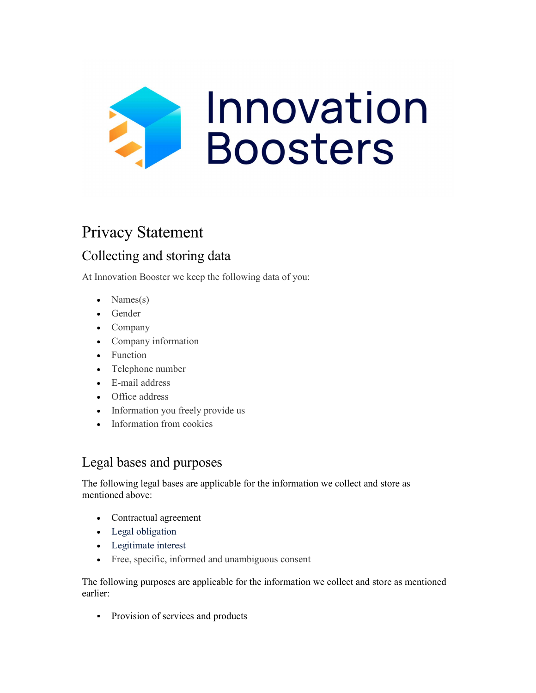

# Privacy Statement

# Collecting and storing data

At Innovation Booster we keep the following data of you:

- Names $(s)$
- Gender
- Company
- Company information
- Function
- Telephone number
- E-mail address
- Office address
- Information you freely provide us
- Information from cookies

### Legal bases and purposes

The following legal bases are applicable for the information we collect and store as mentioned above:

- Contractual agreement
- Legal obligation
- Legitimate interest
- Free, specific, informed and unambiguous consent

The following purposes are applicable for the information we collect and store as mentioned earlier:

• Provision of services and products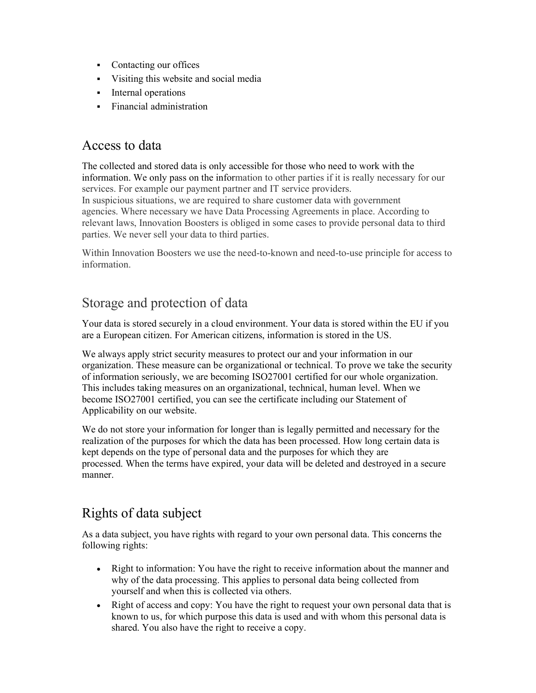- Contacting our offices
- Visiting this website and social media
- **Internal operations**
- **Financial administration**

#### Access to data

The collected and stored data is only accessible for those who need to work with the information. We only pass on the information to other parties if it is really necessary for our services. For example our payment partner and IT service providers.

In suspicious situations, we are required to share customer data with government agencies. Where necessary we have Data Processing Agreements in place. According to relevant laws, Innovation Boosters is obliged in some cases to provide personal data to third parties. We never sell your data to third parties.

Within Innovation Boosters we use the need-to-known and need-to-use principle for access to information.

## Storage and protection of data

Your data is stored securely in a cloud environment. Your data is stored within the EU if you are a European citizen. For American citizens, information is stored in the US.

We always apply strict security measures to protect our and your information in our organization. These measure can be organizational or technical. To prove we take the security of information seriously, we are becoming ISO27001 certified for our whole organization. This includes taking measures on an organizational, technical, human level. When we become ISO27001 certified, you can see the certificate including our Statement of Applicability on our website.

We do not store your information for longer than is legally permitted and necessary for the realization of the purposes for which the data has been processed. How long certain data is kept depends on the type of personal data and the purposes for which they are processed. When the terms have expired, your data will be deleted and destroyed in a secure manner.

## Rights of data subject

As a data subject, you have rights with regard to your own personal data. This concerns the following rights:

- Right to information: You have the right to receive information about the manner and why of the data processing. This applies to personal data being collected from yourself and when this is collected via others.
- Right of access and copy: You have the right to request your own personal data that is known to us, for which purpose this data is used and with whom this personal data is shared. You also have the right to receive a copy.